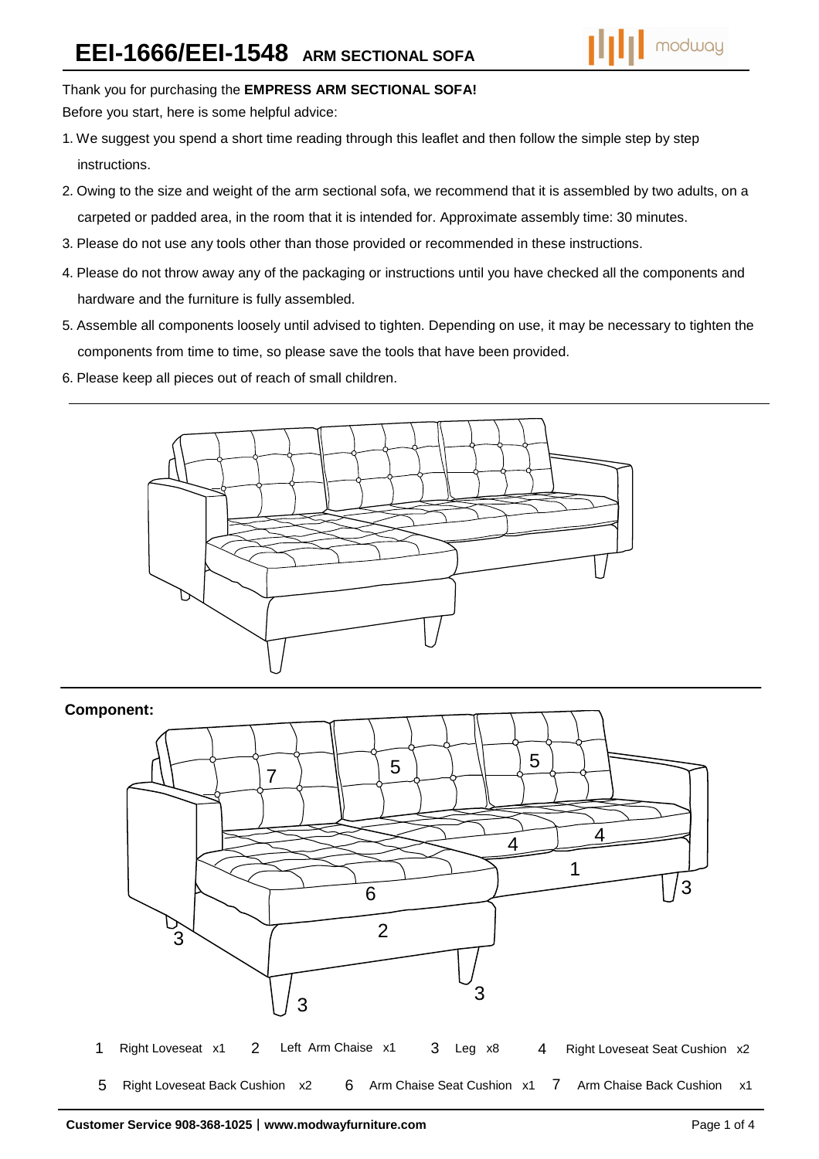# Thank you for purchasing the **EMPRESS ARM SECTIONAL SOFA!**

Before you start, here is some helpful advice:

- .We suggest you spend a short time reading through this leaflet and then follow the simple step by step instructions.
- .Owing to the size and weight of the arm sectional sofa, we recommend that it is assembled by two adults, on a carpeted or padded area, in the room that it is intended for. Approximate assembly time: 30 minutes.
- .Please do not use any tools other than those provided or recommended in these instructions.
- .Please do not throw away any of the packaging or instructions until you have checked all the components and hardware and the furniture is fully assembled.
- .Assemble all components loosely until advised to tighten. Depending on use, it may be necessary to tighten the components from time to time, so please save the tools that have been provided.
- .Please keep all pieces out of reach of small children.



## **Component:**

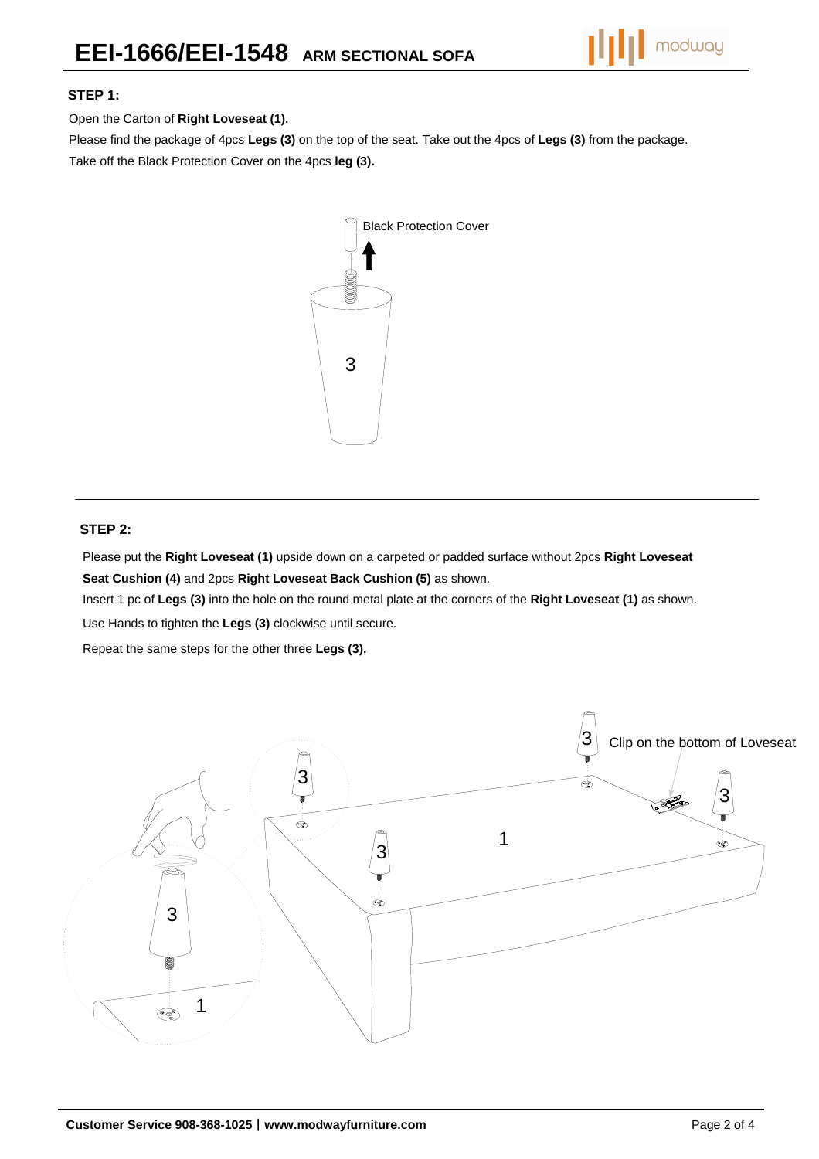

#### **STEP 1:**

Open the Carton of **Right Loveseat (1).**

Please find the package of 4pcs **Legs (3)** on the top of the seat. Take out the 4pcs of **Legs (3)** from the package. Take off the Black Protection Cover on the 4pcs **leg (3).**



#### **STEP 2:**

Please put the **Right Loveseat (1)** upside down on a carpeted or padded surface without 2pcs **Right Loveseat Seat Cushion (4)** and 2pcs **Right Loveseat Back Cushion (5)** as shown.

Insert 1 pc of **Legs (3)** into the hole on the round metal plate at the corners of the **Right Loveseat (1)** as shown.

Use Hands to tighten the **Legs (3)** clockwise until secure.

Repeat the same steps for the other three **Legs (3).** 

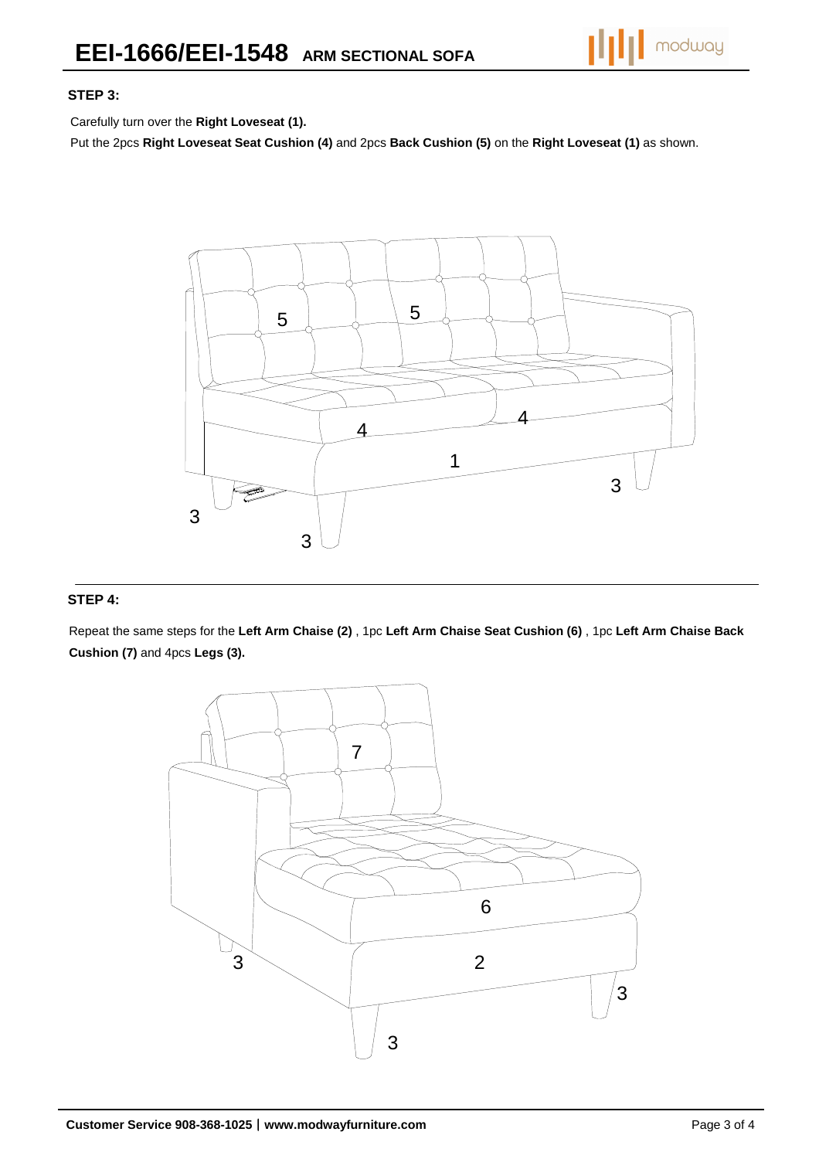

#### **STEP 3:**

Carefully turn over the **Right Loveseat (1).**

Put the 2pcs **Right Loveseat Seat Cushion (4)** and 2pcs **Back Cushion (5)** on the **Right Loveseat (1)** as shown.



### **STEP 4:**

Repeat the same steps for the **Left Arm Chaise (2)** , 1pc **Left Arm Chaise Seat Cushion (6)** , 1pc **Left Arm Chaise Back Cushion (7)** and 4pcs **Legs (3).**